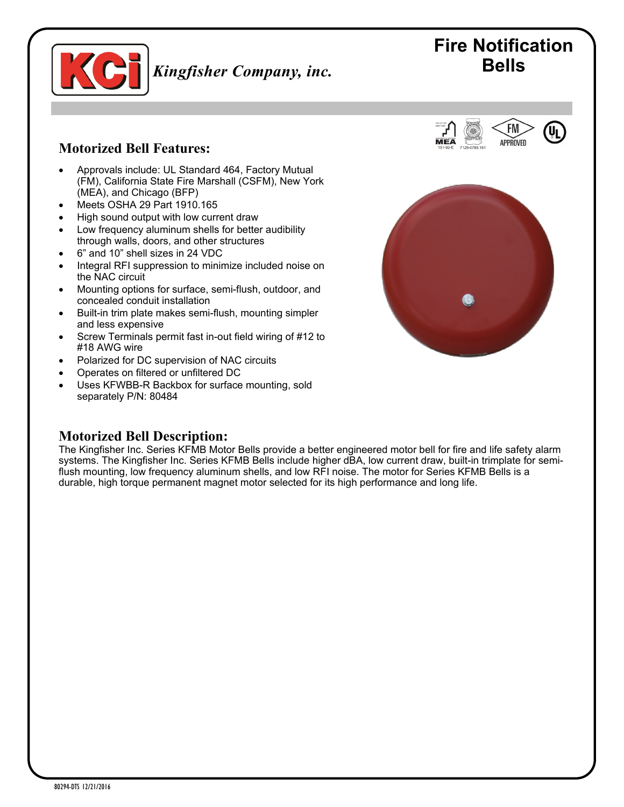

# *Kingfisher Company, inc.* Bells

# **Fire Notification**

FM APPROVED

## **Motorized Bell Features:**

- Approvals include: UL Standard 464, Factory Mutual (FM), California State Fire Marshall (CSFM), New York (MEA), and Chicago (BFP)
- Meets OSHA 29 Part 1910.165
- High sound output with low current draw
- Low frequency aluminum shells for better audibility through walls, doors, and other structures
- 6" and 10" shell sizes in 24 VDC
- Integral RFI suppression to minimize included noise on the NAC circuit
- Mounting options for surface, semi-flush, outdoor, and concealed conduit installation
- Built-in trim plate makes semi-flush, mounting simpler and less expensive
- Screw Terminals permit fast in-out field wiring of #12 to #18 AWG wire
- Polarized for DC supervision of NAC circuits
- Operates on filtered or unfiltered DC
- Uses KFWBB-R Backbox for surface mounting, sold separately P/N: 80484



#### **Motorized Bell Description:**

The Kingfisher Inc. Series KFMB Motor Bells provide a better engineered motor bell for fire and life safety alarm systems. The Kingfisher Inc. Series KFMB Bells include higher dBA, low current draw, built-in trimplate for semiflush mounting, low frequency aluminum shells, and low RFI noise. The motor for Series KFMB Bells is a durable, high torque permanent magnet motor selected for its high performance and long life.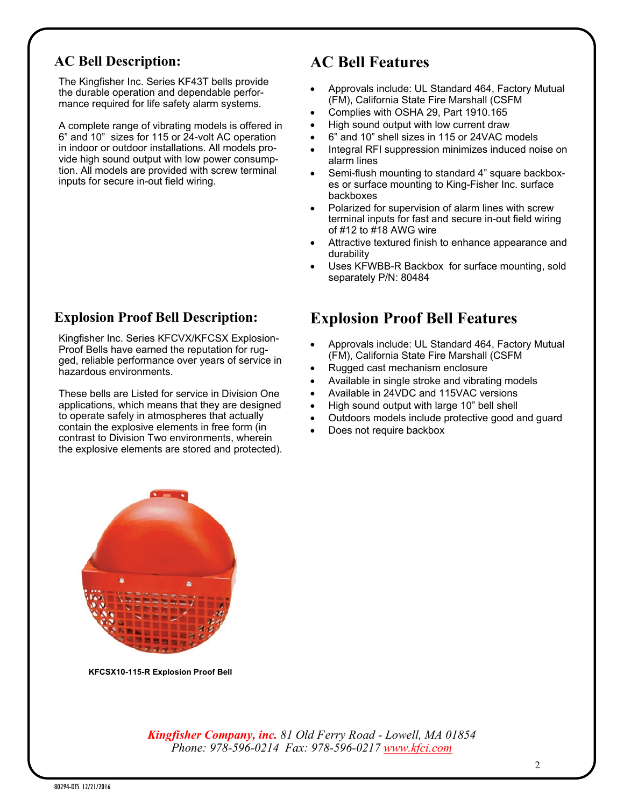## **AC Bell Description:**

The Kingfisher Inc. Series KF43T bells provide the durable operation and dependable performance required for life safety alarm systems.

A complete range of vibrating models is offered in 6" and 10" sizes for 115 or 24-volt AC operation in indoor or outdoor installations. All models provide high sound output with low power consumption. All models are provided with screw terminal inputs for secure in-out field wiring.

#### **Explosion Proof Bell Description:**

Kingfisher Inc. Series KFCVX/KFCSX Explosion-Proof Bells have earned the reputation for rugged, reliable performance over years of service in hazardous environments.

These bells are Listed for service in Division One applications, which means that they are designed to operate safely in atmospheres that actually contain the explosive elements in free form (in contrast to Division Two environments, wherein the explosive elements are stored and protected).

# **AC Bell Features**

- Approvals include: UL Standard 464, Factory Mutual (FM), California State Fire Marshall (CSFM
- Complies with OSHA 29, Part 1910.165
- High sound output with low current draw
- 6" and 10" shell sizes in 115 or 24VAC models
- Integral RFI suppression minimizes induced noise on alarm lines
- Semi-flush mounting to standard 4" square backboxes or surface mounting to King-Fisher Inc. surface backboxes
- Polarized for supervision of alarm lines with screw terminal inputs for fast and secure in-out field wiring of  $\#12$  to  $\#18$  AWG wire
- Attractive textured finish to enhance appearance and durability
- Uses KFWBB-R Backbox for surface mounting, sold separately P/N: 80484

## **Explosion Proof Bell Features**

- Approvals include: UL Standard 464, Factory Mutual (FM), California State Fire Marshall (CSFM
- Rugged cast mechanism enclosure
- Available in single stroke and vibrating models
- Available in 24VDC and 115VAC versions
- High sound output with large 10" bell shell
- Outdoors models include protective good and guard
- Does not require backbox



**KFCSX10-115-R Explosion Proof Bell**

*Kingfisher Company, inc. 81 Old Ferry Road - Lowell, MA 01854 Phone: 978-596-0214 Fax: 978-596-0217 [www.kfci.com](http://www.kfci.com/)*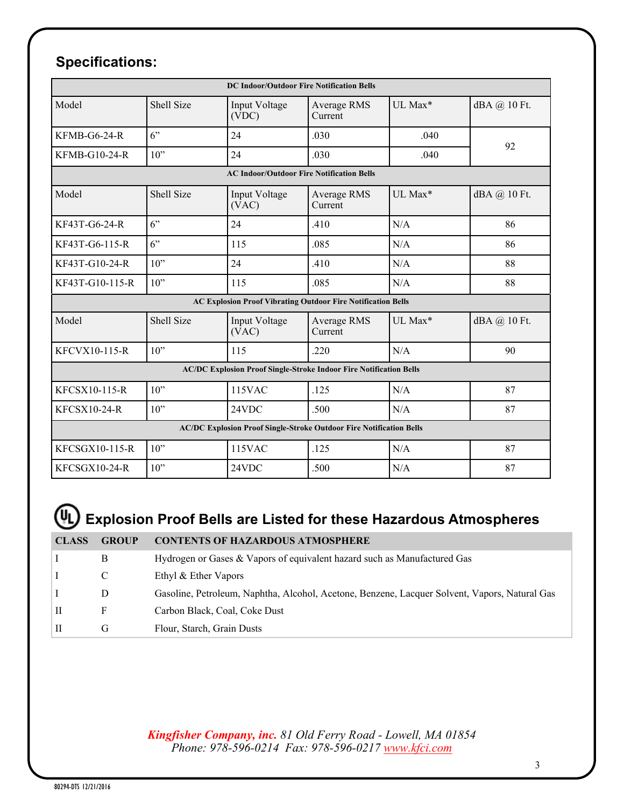# **Specifications:**

| <b>DC Indoor/Outdoor Fire Notification Bells</b>                           |            |                        |                        |         |              |  |  |
|----------------------------------------------------------------------------|------------|------------------------|------------------------|---------|--------------|--|--|
| Model                                                                      | Shell Size | Input Voltage<br>(VDC) | Average RMS<br>Current | UL Max* | dBA @ 10 Ft. |  |  |
| $KFMB-G6-24-R$                                                             | 6          | 24                     | .030                   | .040    | 92           |  |  |
| <b>KFMB-G10-24-R</b>                                                       | 10"        | 24                     | .030                   | .040    |              |  |  |
| <b>AC Indoor/Outdoor Fire Notification Bells</b>                           |            |                        |                        |         |              |  |  |
| Model                                                                      | Shell Size | Input Voltage<br>(VAC) | Average RMS<br>Current | UL Max* | dBA @ 10 Ft. |  |  |
| KF43T-G6-24-R                                                              | 6"         | 24                     | .410                   | N/A     | 86           |  |  |
| KF43T-G6-115-R                                                             | 6          | 115                    | .085                   | N/A     | 86           |  |  |
| KF43T-G10-24-R                                                             | $10$ "     | 24                     | .410                   | N/A     | 88           |  |  |
| KF43T-G10-115-R                                                            | $10$ "     | 115                    | .085                   | N/A     | 88           |  |  |
| <b>AC Explosion Proof Vibrating Outdoor Fire Notification Bells</b>        |            |                        |                        |         |              |  |  |
| Model                                                                      | Shell Size | Input Voltage<br>(VAC) | Average RMS<br>Current | UL Max* | dBA @ 10 Ft. |  |  |
| KFCVX10-115-R                                                              | $10$ "     | 115                    | .220                   | N/A     | 90           |  |  |
| <b>AC/DC Explosion Proof Single-Stroke Indoor Fire Notification Bells</b>  |            |                        |                        |         |              |  |  |
| KFCSX10-115-R                                                              | $10$ "     | <b>115VAC</b>          | .125                   | N/A     | 87           |  |  |
| <b>KFCSX10-24-R</b>                                                        | $10$ "     | 24VDC                  | .500                   | N/A     | 87           |  |  |
| <b>AC/DC Explosion Proof Single-Stroke Outdoor Fire Notification Bells</b> |            |                        |                        |         |              |  |  |
| KFCSGX10-115-R                                                             | $10$ "     | 115VAC                 | .125                   | N/A     | 87           |  |  |
| KFCSGX10-24-R                                                              | $10$ "     | 24VDC                  | .500                   | N/A     | 87           |  |  |

# **Explosion Proof Bells are Listed for these Hazardous Atmospheres**

| <b>CLASS</b> | <b>GROUP</b> | <b>CONTENTS OF HAZARDOUS ATMOSPHERE</b>                                                       |
|--------------|--------------|-----------------------------------------------------------------------------------------------|
|              | B            | Hydrogen or Gases & Vapors of equivalent hazard such as Manufactured Gas                      |
|              |              | Ethyl & Ether Vapors                                                                          |
|              | D            | Gasoline, Petroleum, Naphtha, Alcohol, Acetone, Benzene, Lacquer Solvent, Vapors, Natural Gas |
| H            | F            | Carbon Black, Coal, Coke Dust                                                                 |
| H            | G            | Flour, Starch, Grain Dusts                                                                    |

*Kingfisher Company, inc. 81 Old Ferry Road - Lowell, MA 01854 Phone: 978-596-0214 Fax: 978-596-0217 [www.kfci.com](http://www.kfci.com/)*